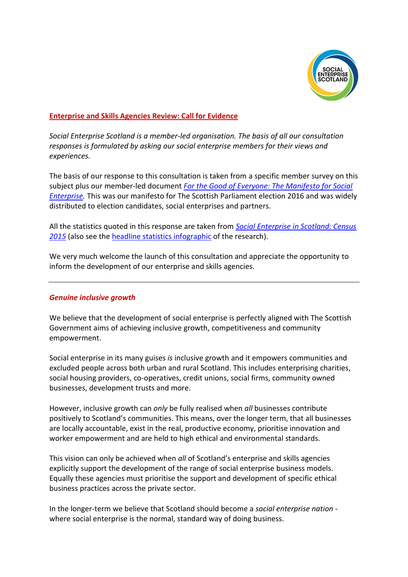

# **[Enterprise and Skills Agencies Review: Call for Evidence](https://consult.scotland.gov.uk/enterprise-and-skills/call-for-evidence/consult_view)**

*Social Enterprise Scotland is a member-led organisation. The basis of all our consultation responses is formulated by asking our social enterprise members for their views and experiences.*

The basis of our response to this consultation is taken from a specific member survey on this subject plus our member-led document *[For the Good of Everyone: The Manifesto for Social](http://www.socialenterprisescotland.org.uk/files/d42f14dcde.pdf)  [Enterprise.](http://www.socialenterprisescotland.org.uk/files/d42f14dcde.pdf)* This was our manifesto for The Scottish Parliament election 2016 and was widely distributed to election candidates, social enterprises and partners.

All the statistics quoted in this response are taken from *[Social Enterprise in Scotland: Census](http://www.socialenterprisescotland.org.uk/files/1a891c7099.pdf)  [2015](http://www.socialenterprisescotland.org.uk/files/1a891c7099.pdf)* (also see the [headline statistics infographic](http://www.socialenterprisescotland.org.uk/files/14bfdcc311.pdf) of the research).

We very much welcome the launch of this consultation and appreciate the opportunity to inform the development of our enterprise and skills agencies.

# *Genuine inclusive growth*

We believe that the development of social enterprise is perfectly aligned with The Scottish Government aims of achieving inclusive growth, competitiveness and community empowerment.

Social enterprise in its many guises *is* inclusive growth and it empowers communities and excluded people across both urban and rural Scotland. This includes enterprising charities, social housing providers, co-operatives, credit unions, social firms, community owned businesses, development trusts and more.

However, inclusive growth can *only* be fully realised when *all* businesses contribute positively to Scotland's communities. This means, over the longer term, that all businesses are locally accountable, exist in the real, productive economy, prioritise innovation and worker empowerment and are held to high ethical and environmental standards.

This vision can only be achieved when *all* of Scotland's enterprise and skills agencies explicitly support the development of the range of social enterprise business models. Equally these agencies must prioritise the support and development of specific ethical business practices across the private sector.

In the longer-term we believe that Scotland should become a *social enterprise nation* where social enterprise is the normal, standard way of doing business.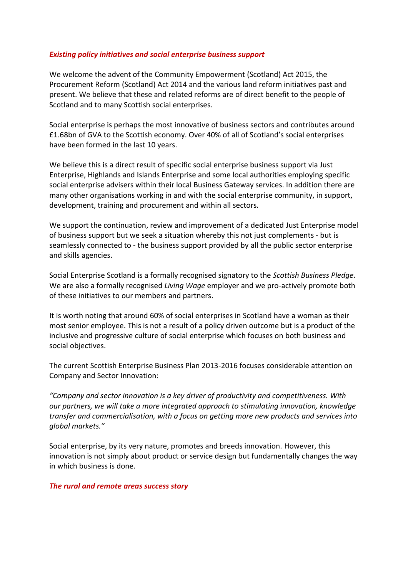### *Existing policy initiatives and social enterprise business support*

We welcome the advent of the Community Empowerment (Scotland) Act 2015, the Procurement Reform (Scotland) Act 2014 and the various land reform initiatives past and present. We believe that these and related reforms are of direct benefit to the people of Scotland and to many Scottish social enterprises.

Social enterprise is perhaps the most innovative of business sectors and contributes around £1.68bn of GVA to the Scottish economy. Over 40% of all of Scotland's social enterprises have been formed in the last 10 years.

We believe this is a direct result of specific social enterprise business support via Just Enterprise, Highlands and Islands Enterprise and some local authorities employing specific social enterprise advisers within their local Business Gateway services. In addition there are many other organisations working in and with the social enterprise community, in support, development, training and procurement and within all sectors.

We support the continuation, review and improvement of a dedicated Just Enterprise model of business support but we seek a situation whereby this not just complements - but is seamlessly connected to - the business support provided by all the public sector enterprise and skills agencies.

Social Enterprise Scotland is a formally recognised signatory to the *Scottish Business Pledge*. We are also a formally recognised *Living Wage* employer and we pro-actively promote both of these initiatives to our members and partners.

It is worth noting that around 60% of social enterprises in Scotland have a woman as their most senior employee. This is not a result of a policy driven outcome but is a product of the inclusive and progressive culture of social enterprise which focuses on both business and social objectives.

The current Scottish Enterprise Business Plan 2013-2016 focuses considerable attention on Company and Sector Innovation:

*"Company and sector innovation is a key driver of productivity and competitiveness. With our partners, we will take a more integrated approach to stimulating innovation, knowledge transfer and commercialisation, with a focus on getting more new products and services into global markets."*

Social enterprise, by its very nature, promotes and breeds innovation. However, this innovation is not simply about product or service design but fundamentally changes the way in which business is done.

#### *The rural and remote areas success story*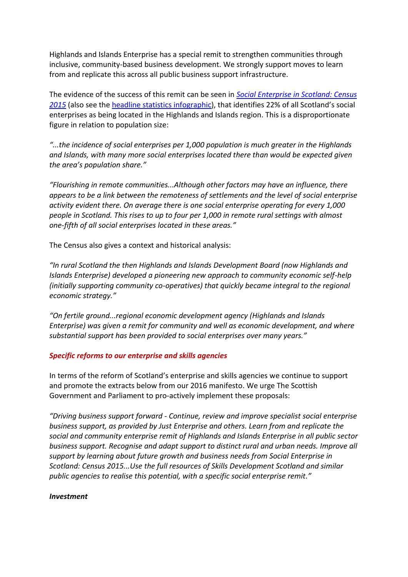Highlands and Islands Enterprise has a special remit to strengthen communities through inclusive, community-based business development. We strongly support moves to learn from and replicate this across all public business support infrastructure.

The evidence of the success of this remit can be seen in *[Social Enterprise in Scotland: Census](http://www.socialenterprisescotland.org.uk/files/1a891c7099.pdf)  [2015](http://www.socialenterprisescotland.org.uk/files/1a891c7099.pdf)* (also see the [headline statistics infographic](http://www.socialenterprisescotland.org.uk/files/14bfdcc311.pdf)), that identifies 22% of all Scotland's social enterprises as being located in the Highlands and Islands region. This is a disproportionate figure in relation to population size:

*"...the incidence of social enterprises per 1,000 population is much greater in the Highlands and Islands, with many more social enterprises located there than would be expected given the area's population share."*

*"Flourishing in remote communities...Although other factors may have an influence, there appears to be a link between the remoteness of settlements and the level of social enterprise activity evident there. On average there is one social enterprise operating for every 1,000 people in Scotland. This rises to up to four per 1,000 in remote rural settings with almost one-fifth of all social enterprises located in these areas."*

The Census also gives a context and historical analysis:

*"In rural Scotland the then Highlands and Islands Development Board (now Highlands and Islands Enterprise) developed a pioneering new approach to community economic self-help (initially supporting community co-operatives) that quickly became integral to the regional economic strategy."*

*"On fertile ground...regional economic development agency (Highlands and Islands Enterprise) was given a remit for community and well as economic development, and where substantial support has been provided to social enterprises over many years."*

# *Specific reforms to our enterprise and skills agencies*

In terms of the reform of Scotland's enterprise and skills agencies we continue to support and promote the extracts below from our 2016 manifesto. We urge The Scottish Government and Parliament to pro-actively implement these proposals:

*"Driving business support forward - Continue, review and improve specialist social enterprise business support, as provided by Just Enterprise and others. Learn from and replicate the social and community enterprise remit of Highlands and Islands Enterprise in all public sector business support. Recognise and adapt support to distinct rural and urban needs. Improve all support by learning about future growth and business needs from Social Enterprise in Scotland: Census 2015...Use the full resources of Skills Development Scotland and similar public agencies to realise this potential, with a specific social enterprise remit."*

#### *Investment*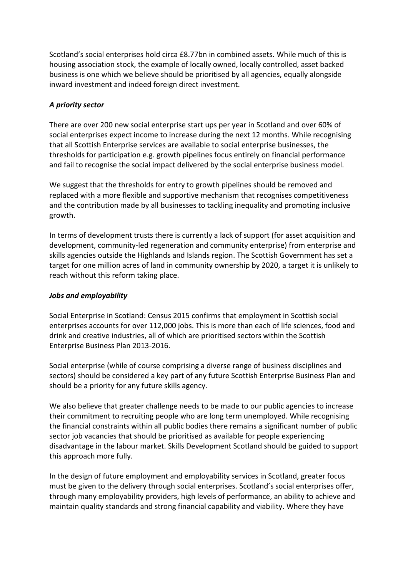Scotland's social enterprises hold circa £8.77bn in combined assets. While much of this is housing association stock, the example of locally owned, locally controlled, asset backed business is one which we believe should be prioritised by all agencies, equally alongside inward investment and indeed foreign direct investment.

## *A priority sector*

There are over 200 new social enterprise start ups per year in Scotland and over 60% of social enterprises expect income to increase during the next 12 months. While recognising that all Scottish Enterprise services are available to social enterprise businesses, the thresholds for participation e.g. growth pipelines focus entirely on financial performance and fail to recognise the social impact delivered by the social enterprise business model.

We suggest that the thresholds for entry to growth pipelines should be removed and replaced with a more flexible and supportive mechanism that recognises competitiveness and the contribution made by all businesses to tackling inequality and promoting inclusive growth.

In terms of development trusts there is currently a lack of support (for asset acquisition and development, community-led regeneration and community enterprise) from enterprise and skills agencies outside the Highlands and Islands region. The Scottish Government has set a target for one million acres of land in community ownership by 2020, a target it is unlikely to reach without this reform taking place.

### *Jobs and employability*

Social Enterprise in Scotland: Census 2015 confirms that employment in Scottish social enterprises accounts for over 112,000 jobs. This is more than each of life sciences, food and drink and creative industries, all of which are prioritised sectors within the Scottish Enterprise Business Plan 2013-2016.

Social enterprise (while of course comprising a diverse range of business disciplines and sectors) should be considered a key part of any future Scottish Enterprise Business Plan and should be a priority for any future skills agency.

We also believe that greater challenge needs to be made to our public agencies to increase their commitment to recruiting people who are long term unemployed. While recognising the financial constraints within all public bodies there remains a significant number of public sector job vacancies that should be prioritised as available for people experiencing disadvantage in the labour market. Skills Development Scotland should be guided to support this approach more fully.

In the design of future employment and employability services in Scotland, greater focus must be given to the delivery through social enterprises. Scotland's social enterprises offer, through many employability providers, high levels of performance, an ability to achieve and maintain quality standards and strong financial capability and viability. Where they have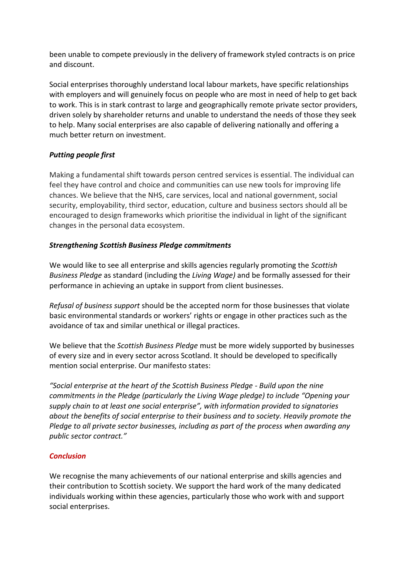been unable to compete previously in the delivery of framework styled contracts is on price and discount.

Social enterprises thoroughly understand local labour markets, have specific relationships with employers and will genuinely focus on people who are most in need of help to get back to work. This is in stark contrast to large and geographically remote private sector providers, driven solely by shareholder returns and unable to understand the needs of those they seek to help. Many social enterprises are also capable of delivering nationally and offering a much better return on investment.

# *Putting people first*

Making a fundamental shift towards person centred services is essential. The individual can feel they have control and choice and communities can use new tools for improving life chances. We believe that the NHS, care services, local and national government, social security, employability, third sector, education, culture and business sectors should all be encouraged to design frameworks which prioritise the individual in light of the significant changes in the personal data ecosystem.

## *Strengthening Scottish Business Pledge commitments*

We would like to see all enterprise and skills agencies regularly promoting the *Scottish Business Pledge* as standard (including the *Living Wage)* and be formally assessed for their performance in achieving an uptake in support from client businesses.

*Refusal of business support* should be the accepted norm for those businesses that violate basic environmental standards or workers' rights or engage in other practices such as the avoidance of tax and similar unethical or illegal practices.

We believe that the *Scottish Business Pledge* must be more widely supported by businesses of every size and in every sector across Scotland. It should be developed to specifically mention social enterprise. Our manifesto states:

*"Social enterprise at the heart of the Scottish Business Pledge - Build upon the nine commitments in the Pledge (particularly the Living Wage pledge) to include "Opening your supply chain to at least one social enterprise", with information provided to signatories about the benefits of social enterprise to their business and to society. Heavily promote the Pledge to all private sector businesses, including as part of the process when awarding any public sector contract."*

# *Conclusion*

We recognise the many achievements of our national enterprise and skills agencies and their contribution to Scottish society. We support the hard work of the many dedicated individuals working within these agencies, particularly those who work with and support social enterprises.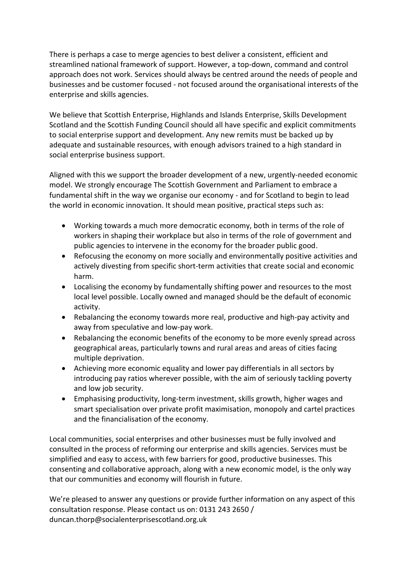There is perhaps a case to merge agencies to best deliver a consistent, efficient and streamlined national framework of support. However, a top-down, command and control approach does not work. Services should always be centred around the needs of people and businesses and be customer focused - not focused around the organisational interests of the enterprise and skills agencies.

We believe that Scottish Enterprise, Highlands and Islands Enterprise, Skills Development Scotland and the Scottish Funding Council should all have specific and explicit commitments to social enterprise support and development. Any new remits must be backed up by adequate and sustainable resources, with enough advisors trained to a high standard in social enterprise business support.

Aligned with this we support the broader development of a new, urgently-needed economic model. We strongly encourage The Scottish Government and Parliament to embrace a fundamental shift in the way we organise our economy - and for Scotland to begin to lead the world in economic innovation. It should mean positive, practical steps such as:

- Working towards a much more democratic economy, both in terms of the role of workers in shaping their workplace but also in terms of the role of government and public agencies to intervene in the economy for the broader public good.
- Refocusing the economy on more socially and environmentally positive activities and actively divesting from specific short-term activities that create social and economic harm.
- Localising the economy by fundamentally shifting power and resources to the most local level possible. Locally owned and managed should be the default of economic activity.
- Rebalancing the economy towards more real, productive and high-pay activity and away from speculative and low-pay work.
- Rebalancing the economic benefits of the economy to be more evenly spread across geographical areas, particularly towns and rural areas and areas of cities facing multiple deprivation.
- Achieving more economic equality and lower pay differentials in all sectors by introducing pay ratios wherever possible, with the aim of seriously tackling poverty and low job security.
- Emphasising productivity, long-term investment, skills growth, higher wages and smart specialisation over private profit maximisation, monopoly and cartel practices and the financialisation of the economy.

Local communities, social enterprises and other businesses must be fully involved and consulted in the process of reforming our enterprise and skills agencies. Services must be simplified and easy to access, with few barriers for good, productive businesses. This consenting and collaborative approach, along with a new economic model, is the only way that our communities and economy will flourish in future.

We're pleased to answer any questions or provide further information on any aspect of this consultation response. Please contact us on: 0131 243 2650 / duncan.thorp@socialenterprisescotland.org.uk